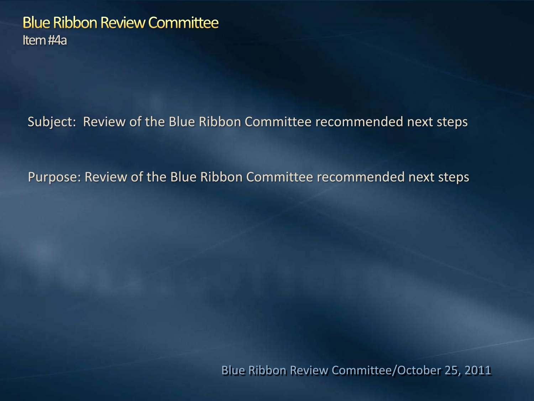#### **Blue Ribbon Review Committee** Item #4a

Subject: Review of the Blue Ribbon Committee recommended next steps

Purpose: Review of the Blue Ribbon Committee recommended next steps

Blue Ribbon Review Committee/October 25, 2011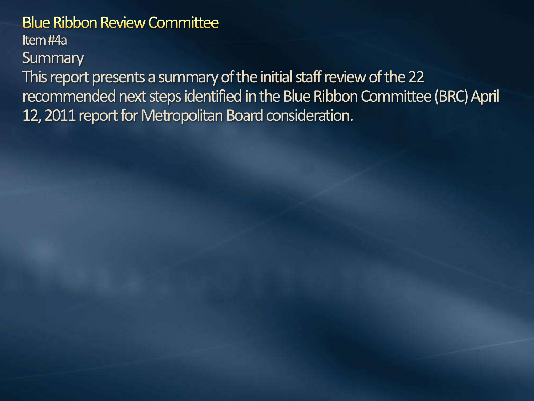#### **Blue Ribbon Review Committee**

Item #4a

**Summary** 

This report presents a summary of the initial staff review of the 22 recommended next steps identified in the Blue Ribbon Committee (BRC) April 12, 2011 report for Metropolitan Board consideration.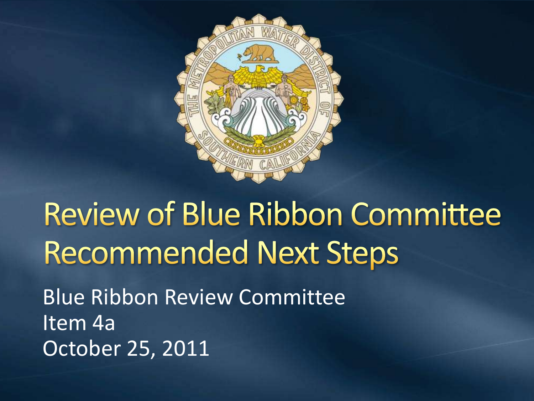

**Review of Blue Ribbon Committee Recommended Next Steps** Blue Ribbon Review Committee Item 4a October 25, 2011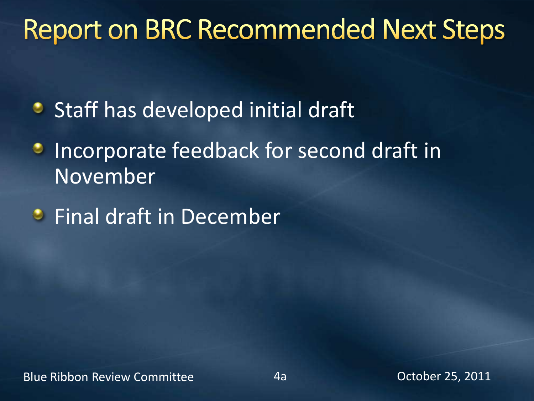#### **Report on BRC Recommended Next Steps**

- **•** Staff has developed initial draft
- Incorporate feedback for second draft in o, November
- **•** Final draft in December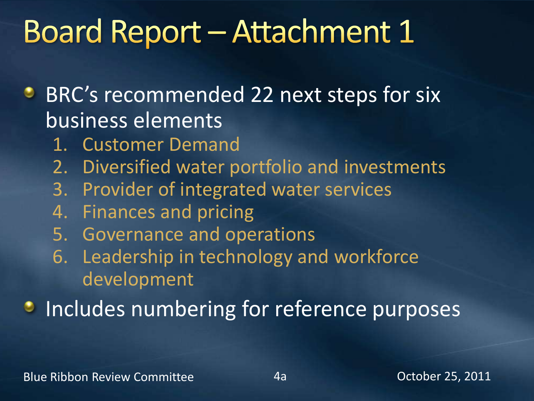## **Board Report - Attachment 1**

- **BRC's recommended 22 next steps for six** business elements
	- 1. Customer Demand
	- 2. Diversified water portfolio and investments
	- 3. Provider of integrated water services
	- 4. Finances and pricing
	- 5. Governance and operations
	- 6. Leadership in technology and workforce development

**Includes numbering for reference purposes**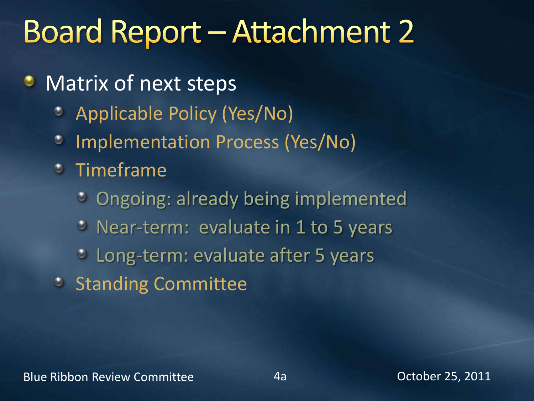## **Board Report - Attachment 2**

- Matrix of next steps ۰
	- Applicable Policy (Yes/No)  $\bullet$
	- Implementation Process (Yes/No)  $\bullet$
	- Timeframe
		- Ongoing: already being implemented
		- Near-term: evaluate in 1 to 5 years
		- Long-term: evaluate after 5 years
	- **Standing Committee**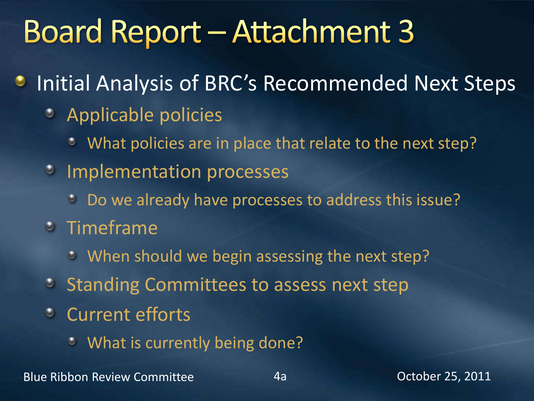## **Board Report - Attachment 3**

- Initial Analysis of BRC's Recommended Next Steps
	- Applicable policies
		- What policies are in place that relate to the next step? ۰
	- **Implementation processes** 
		- Do we already have processes to address this issue?
	- Timeframe
		- **When should we begin assessing the next step?**
	- **Standing Committees to assess next step**
	- Current efforts
		- What is currently being done?  $\bullet$

Blue Ribbon Review Committee **4a** decree 4a Dectober 25, 2011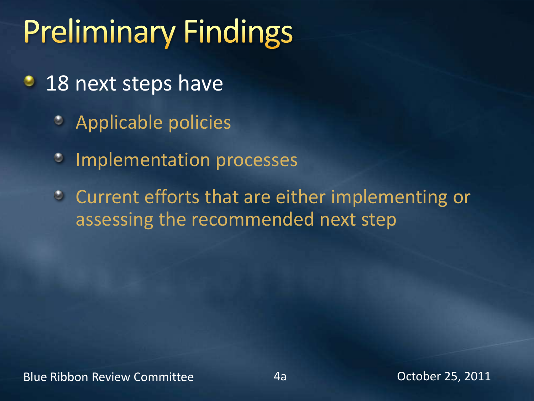# **Preliminary Findings**

- ۰ 18 next steps have
	- Applicable policies  $\bullet$
	- Implementation processes  $\bullet$
	- Current efforts that are either implementing or assessing the recommended next step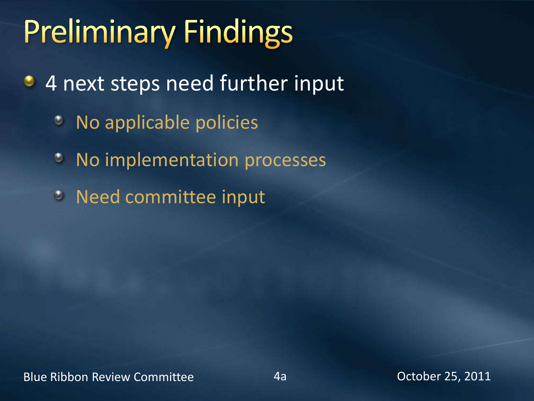# **Preliminary Findings**

- 4 next steps need further input ٠
	- No applicable policies  $\bullet$
	- No implementation processes ۰
	- Need committee input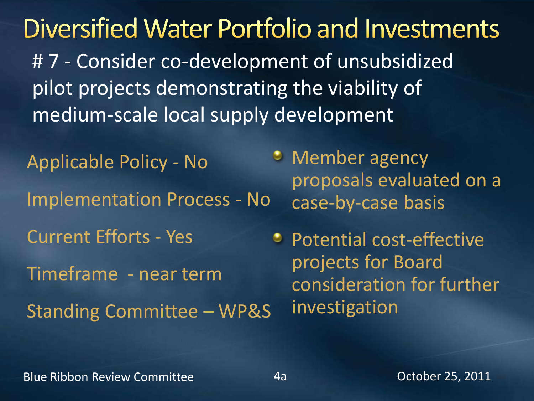Diversified Water Portfolio and Investments #7 - Consider co-development of unsubsidized pilot projects demonstrating the viability of medium-scale local supply development

Applicable Policy - No Implementation Process - No Current Efforts - Yes Timeframe - near term Standing Committee – WP&S

**•** Member agency proposals evaluated on a case-by-case basis

• Potential cost-effective projects for Board consideration for further investigation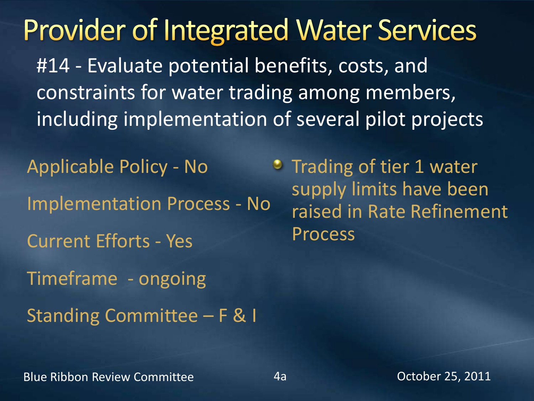**Provider of Integrated Water Services** #14 - Evaluate potential benefits, costs, and constraints for water trading among members, including implementation of several pilot projects

Applicable Policy - No Implementation Process - No Current Efforts - Yes Timeframe - ongoing Standing Committee – F & I

**Trading of tier 1 water** supply limits have been raised in Rate Refinement Process

Blue Ribbon Review Committee **4a** decree 4a Dectober 25, 2011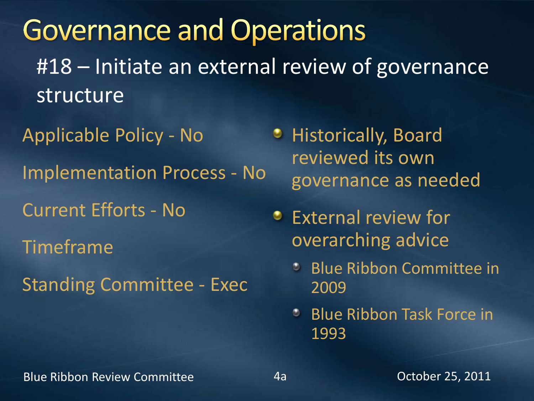**Governance and Operations** #18 – Initiate an external review of governance structure

Applicable Policy - No Implementation Process - No Current Efforts - No Timeframe Standing Committee - Exec

- **Historically, Board** reviewed its own governance as needed
- **External review for** overarching advice
	- **Blue Ribbon Committee in** 2009
	- Blue Ribbon Task Force in 1993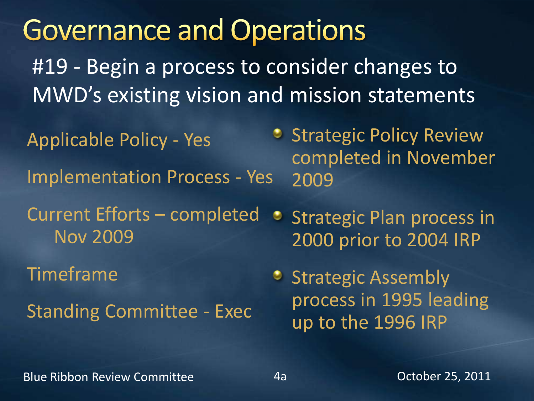**Governance and Operations** #19 - Begin a process to consider changes to MWD's existing vision and mission statements • Strategic Policy Review Applicable Policy - Yes completed in November Implementation Process - Yes 2009 Current Efforts – completed Strategic Plan process in Nov 2009 2000 prior to 2004 IRP Timeframe • Strategic Assembly process in 1995 leading Standing Committee - Exec up to the 1996 IRP

Blue Ribbon Review Committee **4a** decree 4a Dectober 25, 2011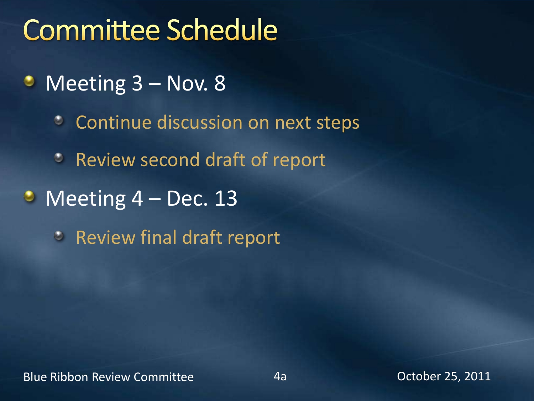### **Committee Schedule**

- Meeting 3 Nov. 8 ٥
	- Continue discussion on next steps  $\bullet$
	- Review second draft of report
- $\bullet$  Meeting 4 Dec. 13
	- **EXECUTE:** Review final draft report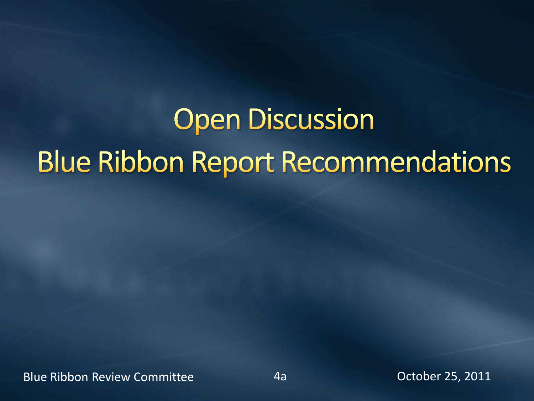# **Open Discussion Blue Ribbon Report Recommendations**